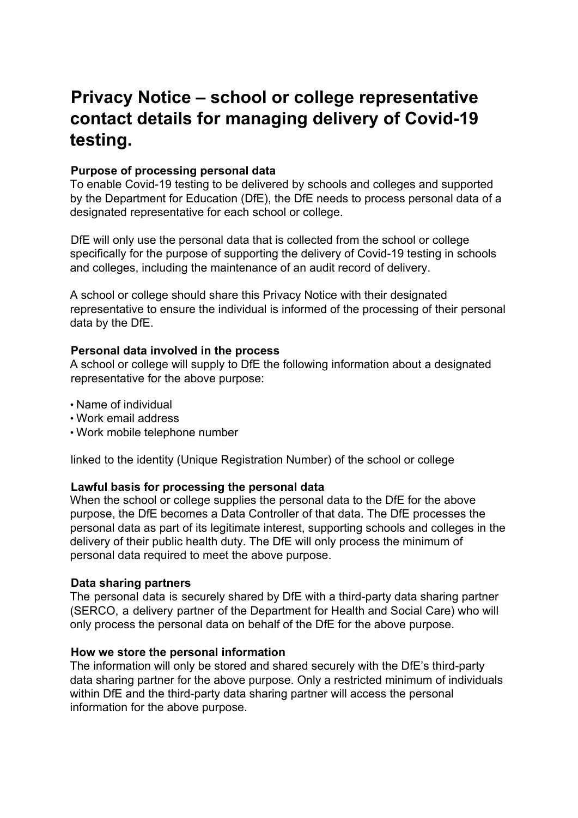# **Privacy Notice – school or college representative contact details for managing delivery of Covid-19 testing.**

# **Purpose of processing personal data**

To enable Covid-19 testing to be delivered by schools and colleges and supported by the Department for Education (DfE), the DfE needs to process personal data of a designated representative for each school or college.

DfE will only use the personal data that is collected from the school or college specifically for the purpose of supporting the delivery of Covid-19 testing in schools and colleges, including the maintenance of an audit record of delivery.

A school or college should share this Privacy Notice with their designated representative to ensure the individual is informed of the processing of their personal data by the DfE.

## **Personal data involved in the process**

A school or college will supply to DfE the following information about a designated representative for the above purpose:

- Name of individual
- Work email address
- Work mobile telephone number

linked to the identity (Unique Registration Number) of the school or college

#### **Lawful basis for processing the personal data**

When the school or college supplies the personal data to the DfE for the above purpose, the DfE becomes a Data Controller of that data. The DfE processes the personal data as part of its legitimate interest, supporting schools and colleges in the delivery of their public health duty. The DfE will only process the minimum of personal data required to meet the above purpose.

#### **Data sharing partners**

The personal data is securely shared by DfE with a third-party data sharing partner (SERCO, a delivery partner of the Department for Health and Social Care) who will only process the personal data on behalf of the DfE for the above purpose.

#### **How we store the personal information**

The information will only be stored and shared securely with the DfE's third-party data sharing partner for the above purpose. Only a restricted minimum of individuals within DfE and the third-party data sharing partner will access the personal information for the above purpose.